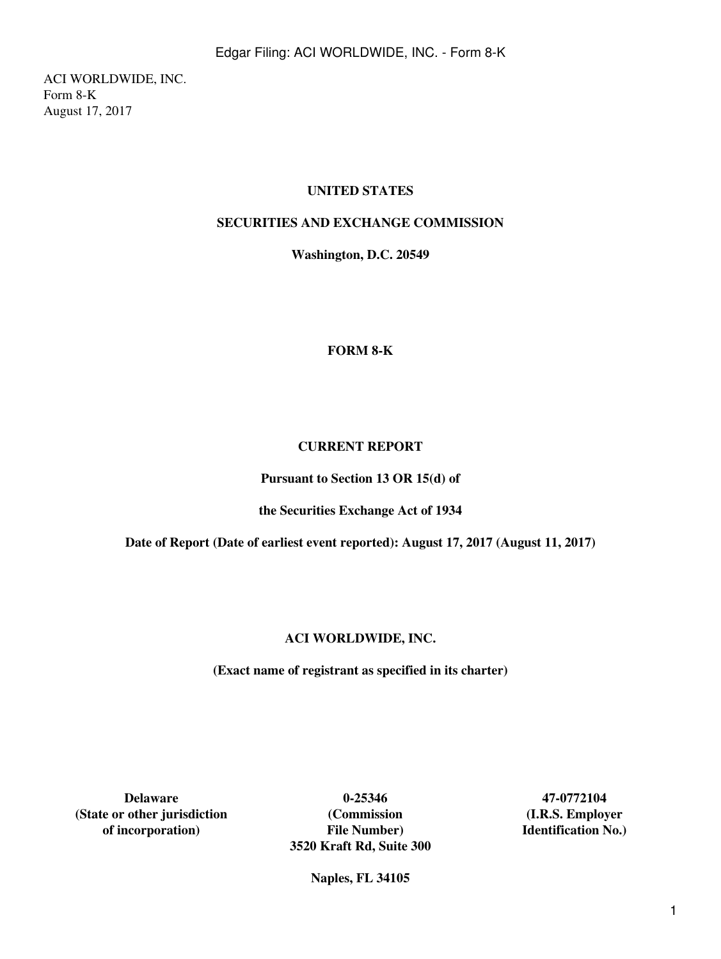ACI WORLDWIDE, INC. Form 8-K August 17, 2017

## **UNITED STATES**

## **SECURITIES AND EXCHANGE COMMISSION**

**Washington, D.C. 20549**

#### **FORM 8-K**

#### **CURRENT REPORT**

**Pursuant to Section 13 OR 15(d) of**

**the Securities Exchange Act of 1934**

**Date of Report (Date of earliest event reported): August 17, 2017 (August 11, 2017)**

## **ACI WORLDWIDE, INC.**

**(Exact name of registrant as specified in its charter)**

**(State or other jurisdiction (Commission (I.R.S. Employer**

**Delaware 0-25346 47-0772104 of incorporation) File Number) Identification No.) 3520 Kraft Rd, Suite 300**

**Naples, FL 34105**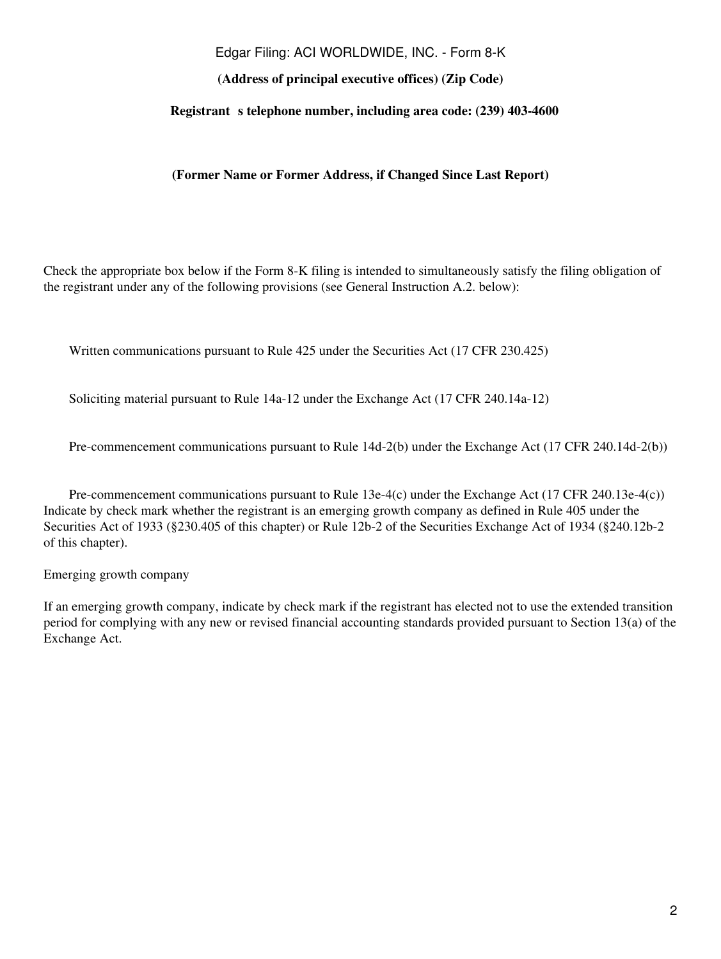#### Edgar Filing: ACI WORLDWIDE, INC. - Form 8-K

## **(Address of principal executive offices) (Zip Code)**

#### **Registrant** s telephone number, including area code: (239) 403-4600

**(Former Name or Former Address, if Changed Since Last Report)**

Check the appropriate box below if the Form 8-K filing is intended to simultaneously satisfy the filing obligation of the registrant under any of the following provisions (see General Instruction A.2. below):

Written communications pursuant to Rule 425 under the Securities Act (17 CFR 230.425)

Soliciting material pursuant to Rule 14a-12 under the Exchange Act (17 CFR 240.14a-12)

Pre-commencement communications pursuant to Rule 14d-2(b) under the Exchange Act (17 CFR 240.14d-2(b))

Pre-commencement communications pursuant to Rule 13e-4(c) under the Exchange Act (17 CFR 240.13e-4(c)) Indicate by check mark whether the registrant is an emerging growth company as defined in Rule 405 under the Securities Act of 1933 (§230.405 of this chapter) or Rule 12b-2 of the Securities Exchange Act of 1934 (§240.12b-2 of this chapter).

Emerging growth company

If an emerging growth company, indicate by check mark if the registrant has elected not to use the extended transition period for complying with any new or revised financial accounting standards provided pursuant to Section 13(a) of the Exchange Act.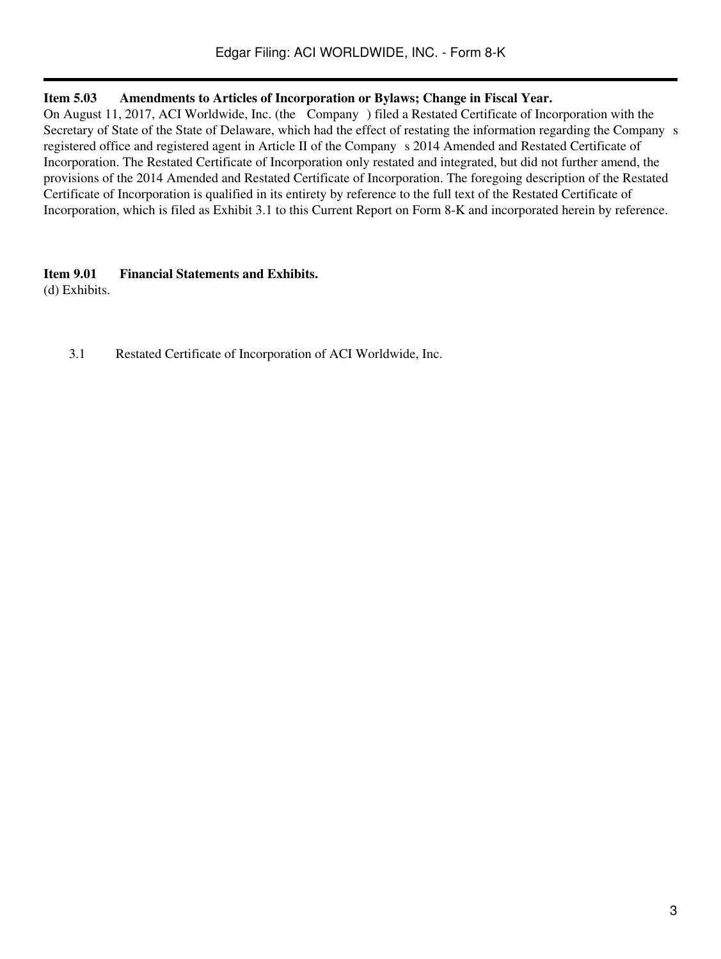## **Item 5.03 Amendments to Articles of Incorporation or Bylaws; Change in Fiscal Year.**

On August 11, 2017, ACI Worldwide, Inc. (the Company) filed a Restated Certificate of Incorporation with the Secretary of State of the State of Delaware, which had the effect of restating the information regarding the Company s registered office and registered agent in Article II of the Companys 2014 Amended and Restated Certificate of Incorporation. The Restated Certificate of Incorporation only restated and integrated, but did not further amend, the provisions of the 2014 Amended and Restated Certificate of Incorporation. The foregoing description of the Restated Certificate of Incorporation is qualified in its entirety by reference to the full text of the Restated Certificate of Incorporation, which is filed as Exhibit 3.1 to this Current Report on Form 8-K and incorporated herein by reference.

## **Item 9.01 Financial Statements and Exhibits.**

(d) Exhibits.

3.1 Restated Certificate of Incorporation of ACI Worldwide, Inc.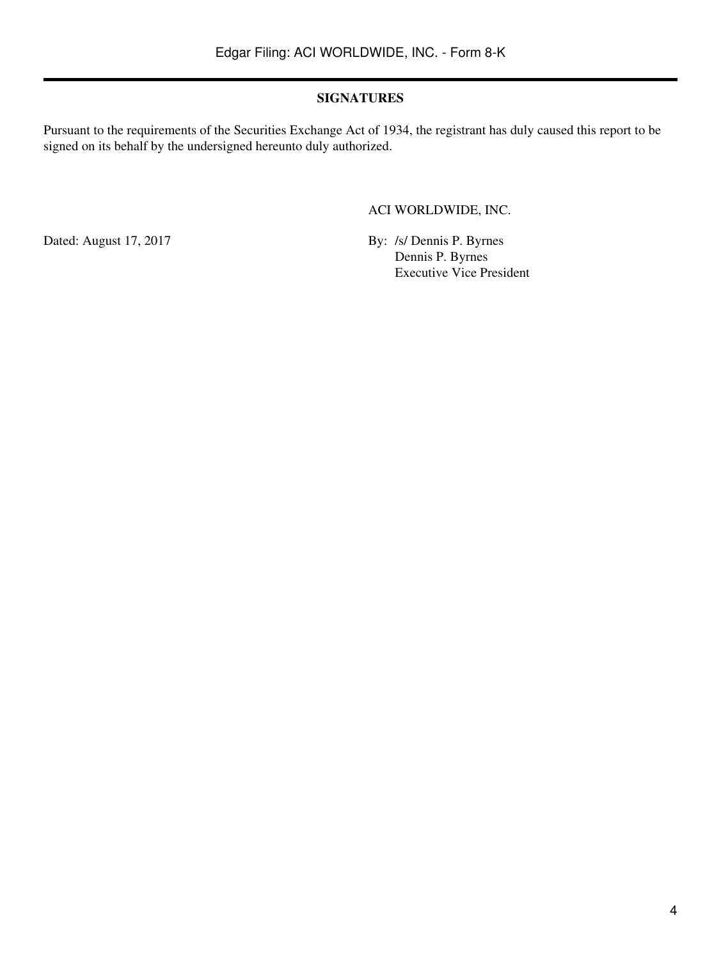## **SIGNATURES**

Pursuant to the requirements of the Securities Exchange Act of 1934, the registrant has duly caused this report to be signed on its behalf by the undersigned hereunto duly authorized.

ACI WORLDWIDE, INC.

Dated: August 17, 2017 By: /s/ Dennis P. Byrnes Dennis P. Byrnes Executive Vice President